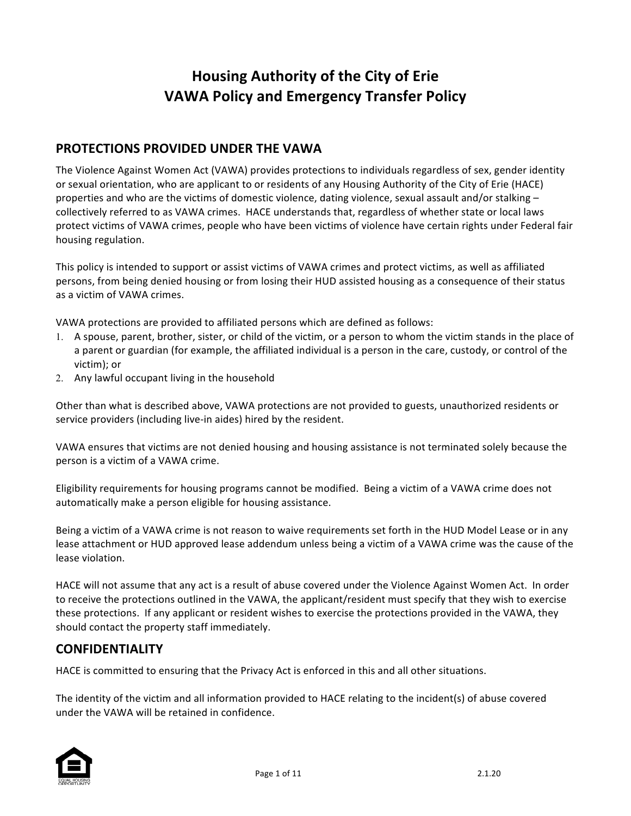# **Housing Authority of the City of Erie VAWA Policy and Emergency Transfer Policy**

### **PROTECTIONS PROVIDED UNDER THE VAWA**

The Violence Against Women Act (VAWA) provides protections to individuals regardless of sex, gender identity or sexual orientation, who are applicant to or residents of any Housing Authority of the City of Erie (HACE) properties and who are the victims of domestic violence, dating violence, sexual assault and/or stalking  $$ collectively referred to as VAWA crimes. HACE understands that, regardless of whether state or local laws protect victims of VAWA crimes, people who have been victims of violence have certain rights under Federal fair housing regulation.

This policy is intended to support or assist victims of VAWA crimes and protect victims, as well as affiliated persons, from being denied housing or from losing their HUD assisted housing as a consequence of their status as a victim of VAWA crimes.

VAWA protections are provided to affiliated persons which are defined as follows:

- 1. A spouse, parent, brother, sister, or child of the victim, or a person to whom the victim stands in the place of a parent or guardian (for example, the affiliated individual is a person in the care, custody, or control of the victim); or
- 2. Any lawful occupant living in the household

Other than what is described above, VAWA protections are not provided to guests, unauthorized residents or service providers (including live-in aides) hired by the resident.

VAWA ensures that victims are not denied housing and housing assistance is not terminated solely because the person is a victim of a VAWA crime.

Eligibility requirements for housing programs cannot be modified. Being a victim of a VAWA crime does not automatically make a person eligible for housing assistance.

Being a victim of a VAWA crime is not reason to waive requirements set forth in the HUD Model Lease or in any lease attachment or HUD approved lease addendum unless being a victim of a VAWA crime was the cause of the lease violation.

HACE will not assume that any act is a result of abuse covered under the Violence Against Women Act. In order to receive the protections outlined in the VAWA, the applicant/resident must specify that they wish to exercise these protections. If any applicant or resident wishes to exercise the protections provided in the VAWA, they should contact the property staff immediately.

### **CONFIDENTIALITY**

HACE is committed to ensuring that the Privacy Act is enforced in this and all other situations.

The identity of the victim and all information provided to HACE relating to the incident(s) of abuse covered under the VAWA will be retained in confidence.

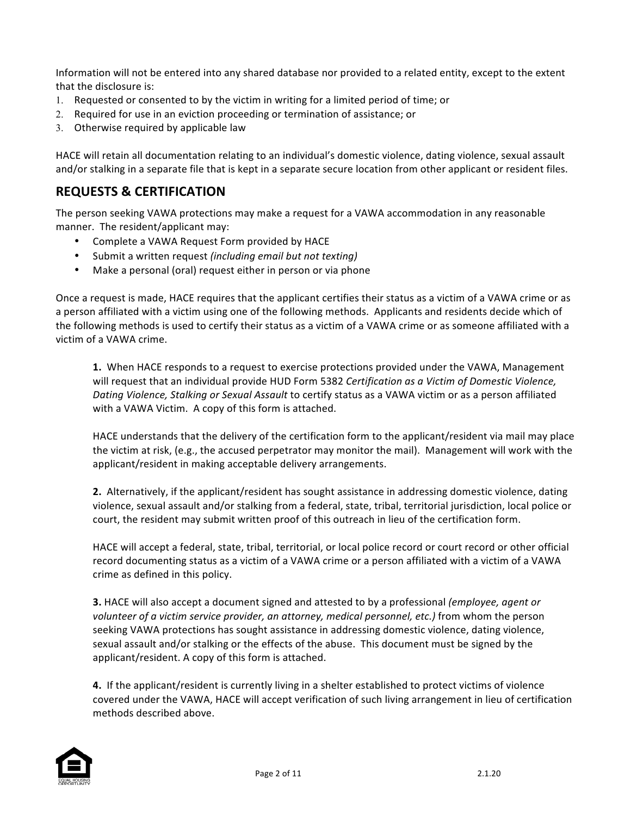Information will not be entered into any shared database nor provided to a related entity, except to the extent that the disclosure is:

- 1. Requested or consented to by the victim in writing for a limited period of time; or
- 2. Required for use in an eviction proceeding or termination of assistance; or
- 3. Otherwise required by applicable law

HACE will retain all documentation relating to an individual's domestic violence, dating violence, sexual assault and/or stalking in a separate file that is kept in a separate secure location from other applicant or resident files.

### **REQUESTS & CERTIFICATION**

The person seeking VAWA protections may make a request for a VAWA accommodation in any reasonable manner. The resident/applicant may:

- Complete a VAWA Request Form provided by HACE
- Submit a written request *(including email but not texting)*
- Make a personal (oral) request either in person or via phone

Once a request is made, HACE requires that the applicant certifies their status as a victim of a VAWA crime or as a person affiliated with a victim using one of the following methods. Applicants and residents decide which of the following methods is used to certify their status as a victim of a VAWA crime or as someone affiliated with a victim of a VAWA crime.

**1.** When HACE responds to a request to exercise protections provided under the VAWA, Management will request that an individual provide HUD Form 5382 Certification as a Victim of Domestic Violence, *Dating Violence, Stalking or Sexual Assault* to certify status as a VAWA victim or as a person affiliated with a VAWA Victim. A copy of this form is attached.

HACE understands that the delivery of the certification form to the applicant/resident via mail may place the victim at risk, (e.g., the accused perpetrator may monitor the mail). Management will work with the applicant/resident in making acceptable delivery arrangements.

**2.** Alternatively, if the applicant/resident has sought assistance in addressing domestic violence, dating violence, sexual assault and/or stalking from a federal, state, tribal, territorial jurisdiction, local police or court, the resident may submit written proof of this outreach in lieu of the certification form.

HACE will accept a federal, state, tribal, territorial, or local police record or court record or other official record documenting status as a victim of a VAWA crime or a person affiliated with a victim of a VAWA crime as defined in this policy.

**3.** HACE will also accept a document signed and attested to by a professional *(employee, agent or volunteer* of a victim service provider, an attorney, medical personnel, etc.) from whom the person seeking VAWA protections has sought assistance in addressing domestic violence, dating violence, sexual assault and/or stalking or the effects of the abuse. This document must be signed by the applicant/resident. A copy of this form is attached.

**4.** If the applicant/resident is currently living in a shelter established to protect victims of violence covered under the VAWA, HACE will accept verification of such living arrangement in lieu of certification methods described above.

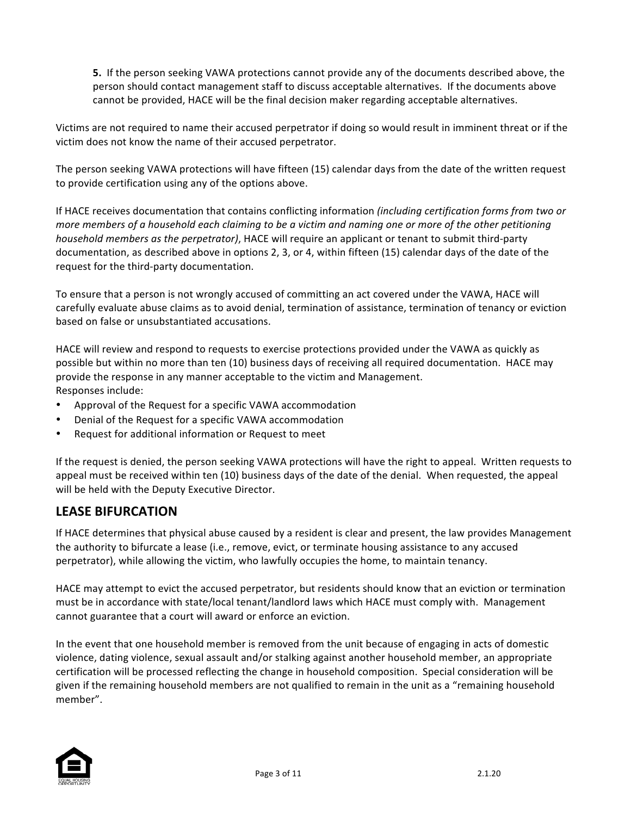**5.** If the person seeking VAWA protections cannot provide any of the documents described above, the person should contact management staff to discuss acceptable alternatives. If the documents above cannot be provided, HACE will be the final decision maker regarding acceptable alternatives.

Victims are not required to name their accused perpetrator if doing so would result in imminent threat or if the victim does not know the name of their accused perpetrator.

The person seeking VAWA protections will have fifteen (15) calendar days from the date of the written request to provide certification using any of the options above.

If HACE receives documentation that contains conflicting information *(including certification forms from two or more members* of a household each claiming to be a victim and naming one or more of the other petitioning *household members as the perpetrator)*, HACE will require an applicant or tenant to submit third-party documentation, as described above in options 2, 3, or 4, within fifteen (15) calendar days of the date of the request for the third-party documentation.

To ensure that a person is not wrongly accused of committing an act covered under the VAWA, HACE will carefully evaluate abuse claims as to avoid denial, termination of assistance, termination of tenancy or eviction based on false or unsubstantiated accusations.

HACE will review and respond to requests to exercise protections provided under the VAWA as quickly as possible but within no more than ten (10) business days of receiving all required documentation. HACE may provide the response in any manner acceptable to the victim and Management. Responses include:

- Approval of the Request for a specific VAWA accommodation
- Denial of the Request for a specific VAWA accommodation
- Request for additional information or Request to meet

If the request is denied, the person seeking VAWA protections will have the right to appeal. Written requests to appeal must be received within ten (10) business days of the date of the denial. When requested, the appeal will be held with the Deputy Executive Director.

### **LEASE BIFURCATION**

If HACE determines that physical abuse caused by a resident is clear and present, the law provides Management the authority to bifurcate a lease (i.e., remove, evict, or terminate housing assistance to any accused perpetrator), while allowing the victim, who lawfully occupies the home, to maintain tenancy.

HACE may attempt to evict the accused perpetrator, but residents should know that an eviction or termination must be in accordance with state/local tenant/landlord laws which HACE must comply with. Management cannot guarantee that a court will award or enforce an eviction.

In the event that one household member is removed from the unit because of engaging in acts of domestic violence, dating violence, sexual assault and/or stalking against another household member, an appropriate certification will be processed reflecting the change in household composition. Special consideration will be given if the remaining household members are not qualified to remain in the unit as a "remaining household member". 

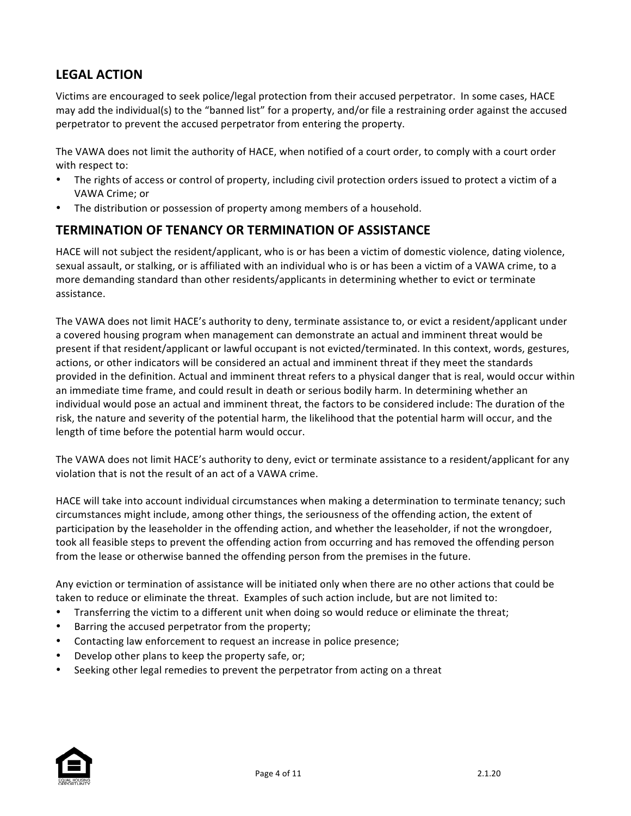# **LEGAL ACTION**

Victims are encouraged to seek police/legal protection from their accused perpetrator. In some cases, HACE may add the individual(s) to the "banned list" for a property, and/or file a restraining order against the accused perpetrator to prevent the accused perpetrator from entering the property.

The VAWA does not limit the authority of HACE, when notified of a court order, to comply with a court order with respect to:

- The rights of access or control of property, including civil protection orders issued to protect a victim of a VAWA Crime; or
- The distribution or possession of property among members of a household.

### **TERMINATION OF TENANCY OR TERMINATION OF ASSISTANCE**

HACE will not subject the resident/applicant, who is or has been a victim of domestic violence, dating violence, sexual assault, or stalking, or is affiliated with an individual who is or has been a victim of a VAWA crime, to a more demanding standard than other residents/applicants in determining whether to evict or terminate assistance.

The VAWA does not limit HACE's authority to deny, terminate assistance to, or evict a resident/applicant under a covered housing program when management can demonstrate an actual and imminent threat would be present if that resident/applicant or lawful occupant is not evicted/terminated. In this context, words, gestures, actions, or other indicators will be considered an actual and imminent threat if they meet the standards provided in the definition. Actual and imminent threat refers to a physical danger that is real, would occur within an immediate time frame, and could result in death or serious bodily harm. In determining whether an individual would pose an actual and imminent threat, the factors to be considered include: The duration of the risk, the nature and severity of the potential harm, the likelihood that the potential harm will occur, and the length of time before the potential harm would occur.

The VAWA does not limit HACE's authority to deny, evict or terminate assistance to a resident/applicant for any violation that is not the result of an act of a VAWA crime.

HACE will take into account individual circumstances when making a determination to terminate tenancy; such circumstances might include, among other things, the seriousness of the offending action, the extent of participation by the leaseholder in the offending action, and whether the leaseholder, if not the wrongdoer, took all feasible steps to prevent the offending action from occurring and has removed the offending person from the lease or otherwise banned the offending person from the premises in the future.

Any eviction or termination of assistance will be initiated only when there are no other actions that could be taken to reduce or eliminate the threat. Examples of such action include, but are not limited to:

- Transferring the victim to a different unit when doing so would reduce or eliminate the threat;
- Barring the accused perpetrator from the property;
- Contacting law enforcement to request an increase in police presence;
- Develop other plans to keep the property safe, or;
- Seeking other legal remedies to prevent the perpetrator from acting on a threat

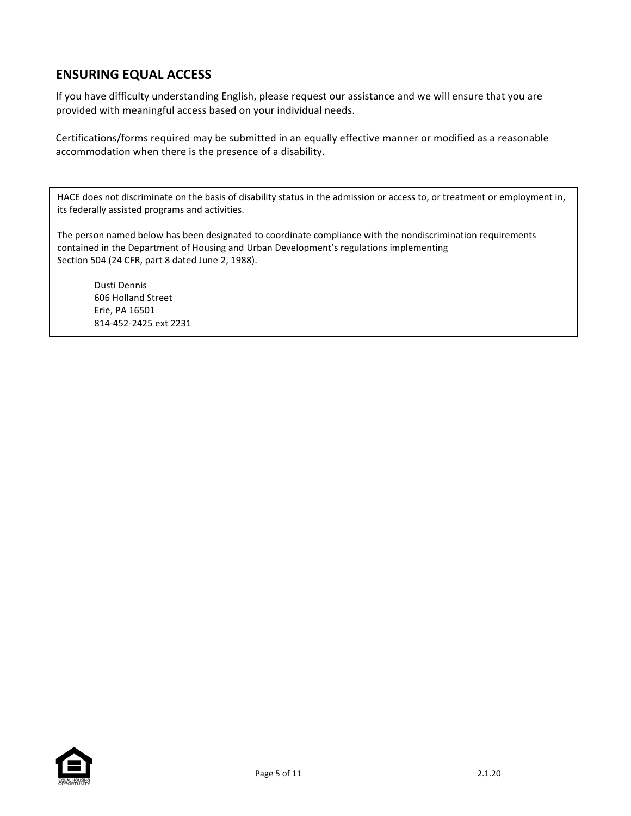# **ENSURING EQUAL ACCESS**

If you have difficulty understanding English, please request our assistance and we will ensure that you are provided with meaningful access based on your individual needs.

Certifications/forms required may be submitted in an equally effective manner or modified as a reasonable accommodation when there is the presence of a disability.

HACE does not discriminate on the basis of disability status in the admission or access to, or treatment or employment in, its federally assisted programs and activities.

The person named below has been designated to coordinate compliance with the nondiscrimination requirements contained in the Department of Housing and Urban Development's regulations implementing Section 504 (24 CFR, part 8 dated June 2, 1988).

Dusti Dennis 606 Holland Street Erie, PA 16501 814-452-2425 ext 2231

<u>TTY: 2004 - 2004 - 2004 - 2004 - 2004 - 2004 - 2004 - 2004 - 2004 - 2004 - 2004 - 2004 - 2004 - 2004 - 2004 -</u>

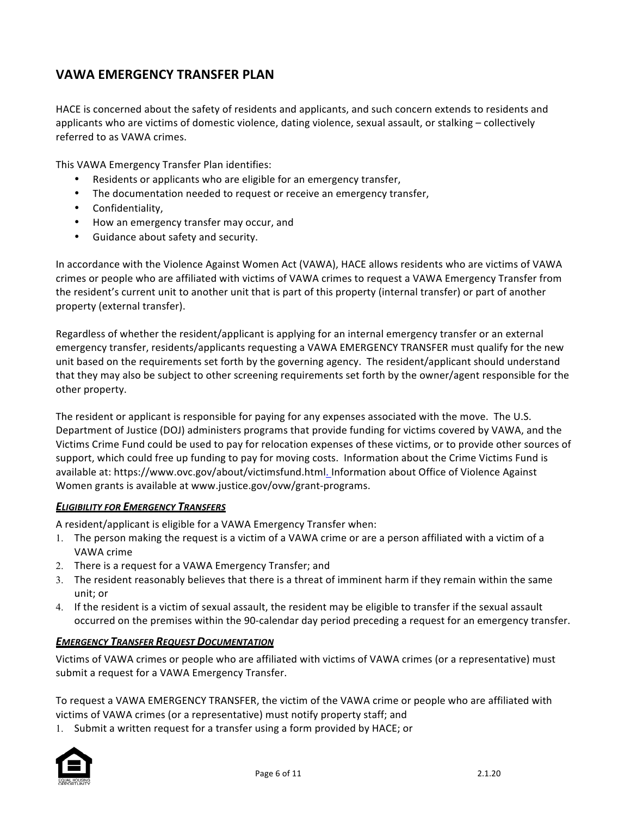## **VAWA EMERGENCY TRANSFER PLAN**

HACE is concerned about the safety of residents and applicants, and such concern extends to residents and applicants who are victims of domestic violence, dating violence, sexual assault, or stalking – collectively referred to as VAWA crimes.

This VAWA Emergency Transfer Plan identifies:

- Residents or applicants who are eligible for an emergency transfer,
- The documentation needed to request or receive an emergency transfer,
- Confidentiality,
- How an emergency transfer may occur, and
- Guidance about safety and security.

In accordance with the Violence Against Women Act (VAWA), HACE allows residents who are victims of VAWA crimes or people who are affiliated with victims of VAWA crimes to request a VAWA Emergency Transfer from the resident's current unit to another unit that is part of this property (internal transfer) or part of another property (external transfer).

Regardless of whether the resident/applicant is applying for an internal emergency transfer or an external emergency transfer, residents/applicants requesting a VAWA EMERGENCY TRANSFER must qualify for the new unit based on the requirements set forth by the governing agency. The resident/applicant should understand that they may also be subject to other screening requirements set forth by the owner/agent responsible for the other property.

The resident or applicant is responsible for paying for any expenses associated with the move. The U.S. Department of Justice (DOJ) administers programs that provide funding for victims covered by VAWA, and the Victims Crime Fund could be used to pay for relocation expenses of these victims, or to provide other sources of support, which could free up funding to pay for moving costs. Information about the Crime Victims Fund is available at: https://www.ovc.gov/about/victimsfund.html. Information about Office of Violence Against Women grants is available at www.justice.gov/ovw/grant-programs.

#### **ELIGIBILITY FOR EMERGENCY TRANSFERS**

A resident/applicant is eligible for a VAWA Emergency Transfer when:

- 1. The person making the request is a victim of a VAWA crime or are a person affiliated with a victim of a VAWA crime
- 2. There is a request for a VAWA Emergency Transfer; and
- 3. The resident reasonably believes that there is a threat of imminent harm if they remain within the same unit: or
- 4. If the resident is a victim of sexual assault, the resident may be eligible to transfer if the sexual assault occurred on the premises within the 90-calendar day period preceding a request for an emergency transfer.

#### **EMERGENCY TRANSFER REQUEST DOCUMENTATION**

Victims of VAWA crimes or people who are affiliated with victims of VAWA crimes (or a representative) must submit a request for a VAWA Emergency Transfer.

To request a VAWA EMERGENCY TRANSFER, the victim of the VAWA crime or people who are affiliated with victims of VAWA crimes (or a representative) must notify property staff; and

1. Submit a written request for a transfer using a form provided by HACE; or

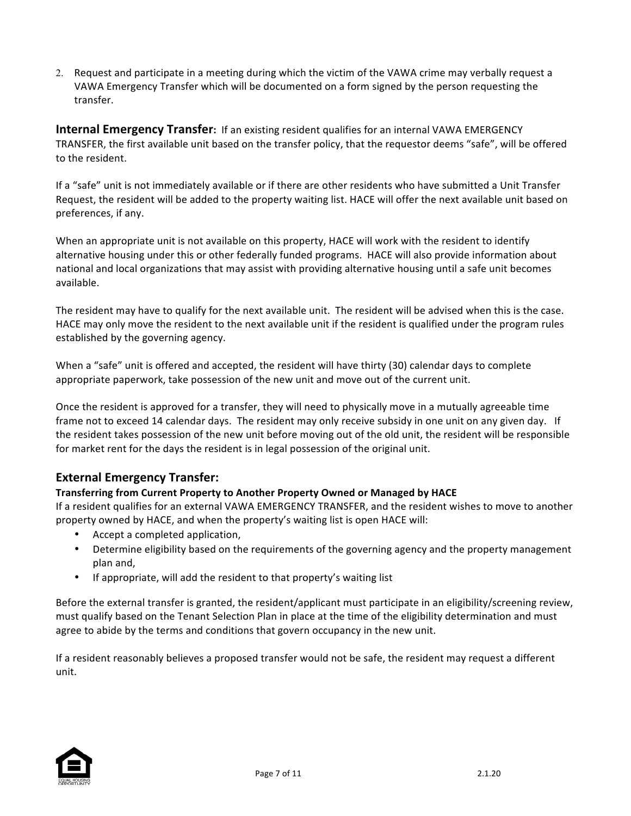2. Request and participate in a meeting during which the victim of the VAWA crime may verbally request a VAWA Emergency Transfer which will be documented on a form signed by the person requesting the transfer.

**Internal Emergency Transfer:** If an existing resident qualifies for an internal VAWA EMERGENCY TRANSFER, the first available unit based on the transfer policy, that the requestor deems "safe", will be offered to the resident.

If a "safe" unit is not immediately available or if there are other residents who have submitted a Unit Transfer Request, the resident will be added to the property waiting list. HACE will offer the next available unit based on preferences, if any.

When an appropriate unit is not available on this property, HACE will work with the resident to identify alternative housing under this or other federally funded programs. HACE will also provide information about national and local organizations that may assist with providing alternative housing until a safe unit becomes available.

The resident may have to qualify for the next available unit. The resident will be advised when this is the case. HACE may only move the resident to the next available unit if the resident is qualified under the program rules established by the governing agency.

When a "safe" unit is offered and accepted, the resident will have thirty (30) calendar days to complete appropriate paperwork, take possession of the new unit and move out of the current unit.

Once the resident is approved for a transfer, they will need to physically move in a mutually agreeable time frame not to exceed 14 calendar days. The resident may only receive subsidy in one unit on any given day. If the resident takes possession of the new unit before moving out of the old unit, the resident will be responsible for market rent for the days the resident is in legal possession of the original unit.

### **External Emergency Transfer:**

### **Transferring from Current Property to Another Property Owned or Managed by HACE**

If a resident qualifies for an external VAWA EMERGENCY TRANSFER, and the resident wishes to move to another property owned by HACE, and when the property's waiting list is open HACE will:

- Accept a completed application,
- Determine eligibility based on the requirements of the governing agency and the property management plan and,
- If appropriate, will add the resident to that property's waiting list

Before the external transfer is granted, the resident/applicant must participate in an eligibility/screening review, must qualify based on the Tenant Selection Plan in place at the time of the eligibility determination and must agree to abide by the terms and conditions that govern occupancy in the new unit.

If a resident reasonably believes a proposed transfer would not be safe, the resident may request a different unit. 

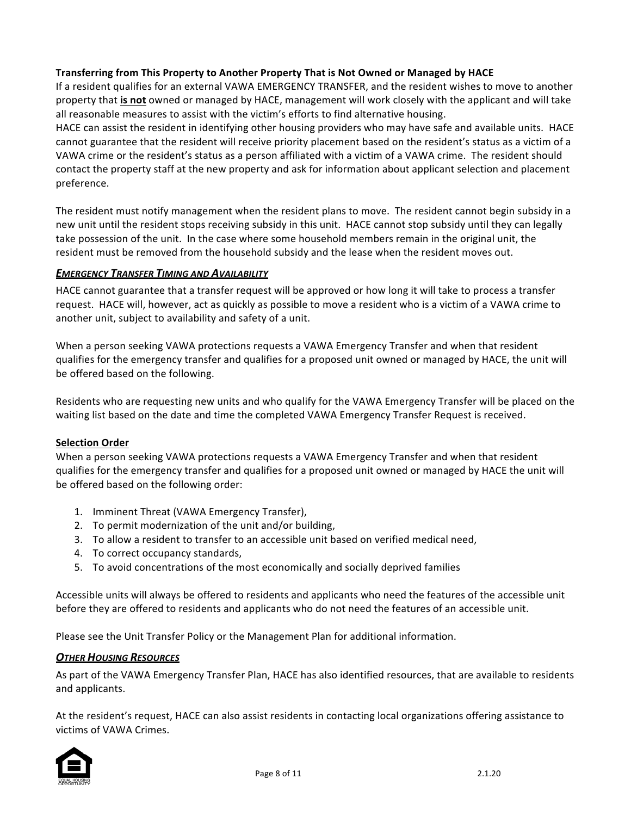### **Transferring from This Property to Another Property That is Not Owned or Managed by HACE**

If a resident qualifies for an external VAWA EMERGENCY TRANSFER, and the resident wishes to move to another property that **is not** owned or managed by HACE, management will work closely with the applicant and will take all reasonable measures to assist with the victim's efforts to find alternative housing.

HACE can assist the resident in identifying other housing providers who may have safe and available units. HACE cannot guarantee that the resident will receive priority placement based on the resident's status as a victim of a VAWA crime or the resident's status as a person affiliated with a victim of a VAWA crime. The resident should contact the property staff at the new property and ask for information about applicant selection and placement preference. 

The resident must notify management when the resident plans to move. The resident cannot begin subsidy in a new unit until the resident stops receiving subsidy in this unit. HACE cannot stop subsidy until they can legally take possession of the unit. In the case where some household members remain in the original unit, the resident must be removed from the household subsidy and the lease when the resident moves out.

#### **EMERGENCY TRANSFER TIMING AND AVAILABILITY**

HACE cannot guarantee that a transfer request will be approved or how long it will take to process a transfer request. HACE will, however, act as quickly as possible to move a resident who is a victim of a VAWA crime to another unit, subject to availability and safety of a unit.

When a person seeking VAWA protections requests a VAWA Emergency Transfer and when that resident qualifies for the emergency transfer and qualifies for a proposed unit owned or managed by HACE, the unit will be offered based on the following.

Residents who are requesting new units and who qualify for the VAWA Emergency Transfer will be placed on the waiting list based on the date and time the completed VAWA Emergency Transfer Request is received.

#### **Selection Order**

When a person seeking VAWA protections requests a VAWA Emergency Transfer and when that resident qualifies for the emergency transfer and qualifies for a proposed unit owned or managed by HACE the unit will be offered based on the following order:

- 1. Imminent Threat (VAWA Emergency Transfer),
- 2. To permit modernization of the unit and/or building,
- 3. To allow a resident to transfer to an accessible unit based on verified medical need,
- 4. To correct occupancy standards,
- 5. To avoid concentrations of the most economically and socially deprived families

Accessible units will always be offered to residents and applicants who need the features of the accessible unit before they are offered to residents and applicants who do not need the features of an accessible unit.

Please see the Unit Transfer Policy or the Management Plan for additional information.

#### **OTHER HOUSING RESOURCES**

As part of the VAWA Emergency Transfer Plan, HACE has also identified resources, that are available to residents and applicants.

At the resident's request, HACE can also assist residents in contacting local organizations offering assistance to victims of VAWA Crimes.

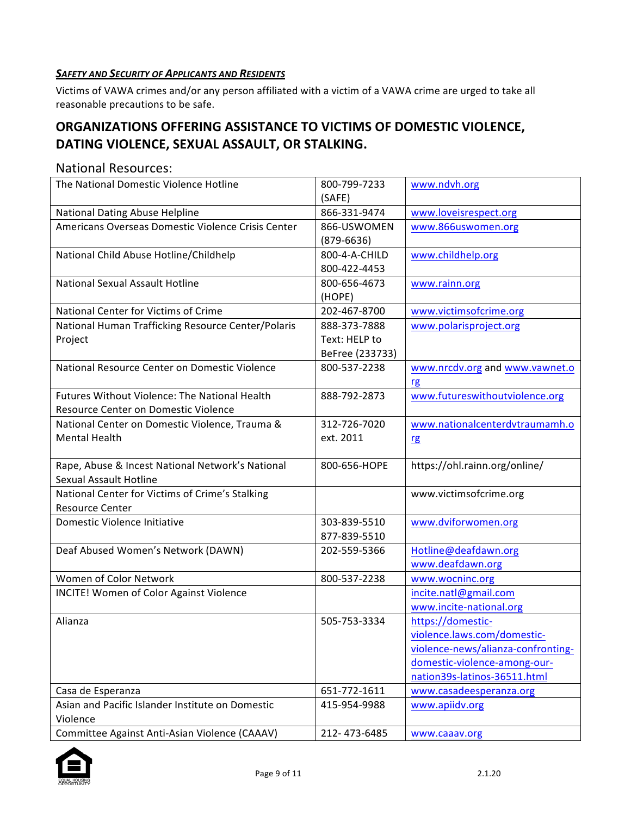### **SAFETY AND SECURITY OF APPLICANTS AND RESIDENTS**

Victims of VAWA crimes and/or any person affiliated with a victim of a VAWA crime are urged to take all reasonable precautions to be safe.

# **ORGANIZATIONS OFFERING ASSISTANCE TO VICTIMS OF DOMESTIC VIOLENCE, DATING VIOLENCE, SEXUAL ASSAULT, OR STALKING.**

### National Resources:

| The National Domestic Violence Hotline               | 800-799-7233    | www.ndvh.org                       |
|------------------------------------------------------|-----------------|------------------------------------|
|                                                      | (SAFE)          |                                    |
| National Dating Abuse Helpline                       | 866-331-9474    | www.loveisrespect.org              |
| Americans Overseas Domestic Violence Crisis Center   | 866-USWOMEN     | www.866uswomen.org                 |
|                                                      | $(879 - 6636)$  |                                    |
| National Child Abuse Hotline/Childhelp               | 800-4-A-CHILD   | www.childhelp.org                  |
|                                                      | 800-422-4453    |                                    |
| <b>National Sexual Assault Hotline</b>               | 800-656-4673    | www.rainn.org                      |
|                                                      | (HOPE)          |                                    |
| National Center for Victims of Crime                 | 202-467-8700    | www.victimsofcrime.org             |
| National Human Trafficking Resource Center/Polaris   | 888-373-7888    | www.polarisproject.org             |
| Project                                              | Text: HELP to   |                                    |
|                                                      | BeFree (233733) |                                    |
| National Resource Center on Domestic Violence        | 800-537-2238    | www.nrcdv.org and www.vawnet.o     |
|                                                      |                 | rg                                 |
| <b>Futures Without Violence: The National Health</b> | 888-792-2873    | www.futureswithoutviolence.org     |
| Resource Center on Domestic Violence                 |                 |                                    |
| National Center on Domestic Violence, Trauma &       | 312-726-7020    | www.nationalcenterdvtraumamh.o     |
| <b>Mental Health</b>                                 | ext. 2011       | rg                                 |
|                                                      |                 |                                    |
| Rape, Abuse & Incest National Network's National     | 800-656-HOPE    | https://ohl.rainn.org/online/      |
| <b>Sexual Assault Hotline</b>                        |                 |                                    |
| National Center for Victims of Crime's Stalking      |                 | www.victimsofcrime.org             |
| <b>Resource Center</b>                               |                 |                                    |
| Domestic Violence Initiative                         | 303-839-5510    | www.dviforwomen.org                |
|                                                      | 877-839-5510    |                                    |
| Deaf Abused Women's Network (DAWN)                   | 202-559-5366    | Hotline@deafdawn.org               |
|                                                      |                 | www.deafdawn.org                   |
| Women of Color Network                               | 800-537-2238    | www.wocninc.org                    |
| <b>INCITE!</b> Women of Color Against Violence       |                 | incite.natl@gmail.com              |
|                                                      |                 | www.incite-national.org            |
| Alianza                                              | 505-753-3334    | https://domestic-                  |
|                                                      |                 | violence.laws.com/domestic-        |
|                                                      |                 | violence-news/alianza-confronting- |
|                                                      |                 | domestic-violence-among-our-       |
|                                                      |                 | nation39s-latinos-36511.html       |
| Casa de Esperanza                                    | 651-772-1611    | www.casadeesperanza.org            |
| Asian and Pacific Islander Institute on Domestic     | 415-954-9988    | www.apiidv.org                     |
| Violence                                             |                 |                                    |
| Committee Against Anti-Asian Violence (CAAAV)        | 212-473-6485    | www.caaav.org                      |

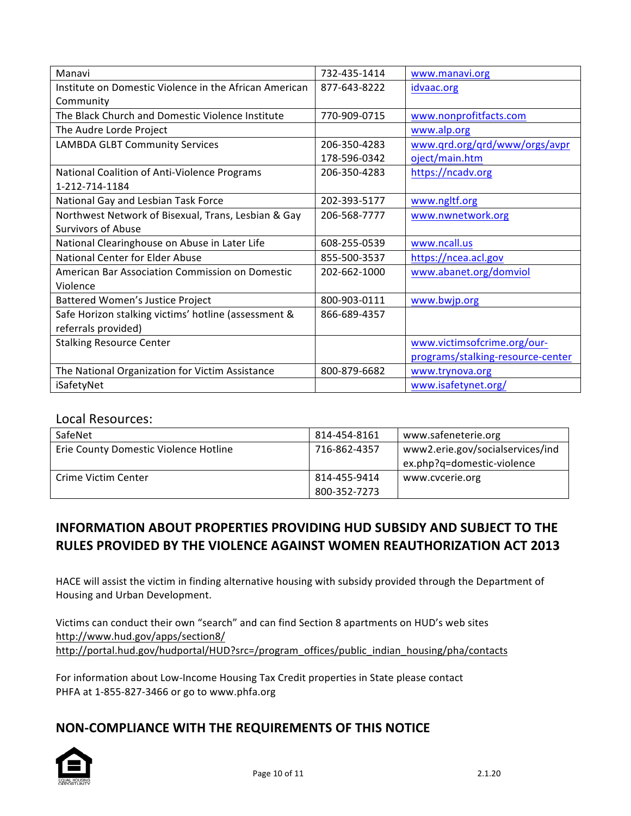| Manavi                                                 | 732-435-1414 | www.manavi.org                    |
|--------------------------------------------------------|--------------|-----------------------------------|
| Institute on Domestic Violence in the African American | 877-643-8222 | idvaac.org                        |
| Community                                              |              |                                   |
| The Black Church and Domestic Violence Institute       | 770-909-0715 | www.nonprofitfacts.com            |
| The Audre Lorde Project                                |              | www.alp.org                       |
| <b>LAMBDA GLBT Community Services</b>                  | 206-350-4283 | www.qrd.org/qrd/www/orgs/avpr     |
|                                                        | 178-596-0342 | oject/main.htm                    |
| National Coalition of Anti-Violence Programs           | 206-350-4283 | https://ncadv.org                 |
| 1-212-714-1184                                         |              |                                   |
| National Gay and Lesbian Task Force                    | 202-393-5177 | www.ngltf.org                     |
| Northwest Network of Bisexual, Trans, Lesbian & Gay    | 206-568-7777 | www.nwnetwork.org                 |
| <b>Survivors of Abuse</b>                              |              |                                   |
| National Clearinghouse on Abuse in Later Life          | 608-255-0539 | www.ncall.us                      |
| National Center for Elder Abuse                        | 855-500-3537 | https://ncea.acl.gov              |
| American Bar Association Commission on Domestic        | 202-662-1000 | www.abanet.org/domviol            |
| Violence                                               |              |                                   |
| Battered Women's Justice Project                       | 800-903-0111 | www.bwjp.org                      |
| Safe Horizon stalking victims' hotline (assessment &   | 866-689-4357 |                                   |
| referrals provided)                                    |              |                                   |
| <b>Stalking Resource Center</b>                        |              | www.victimsofcrime.org/our-       |
|                                                        |              | programs/stalking-resource-center |
| The National Organization for Victim Assistance        | 800-879-6682 | www.trynova.org                   |
| iSafetyNet                                             |              | www.isafetynet.org/               |

### Local Resources:

| SafeNet                               | 814-454-8161 | www.safeneterie.org              |
|---------------------------------------|--------------|----------------------------------|
| Erie County Domestic Violence Hotline | 716-862-4357 | www2.erie.gov/socialservices/ind |
|                                       |              | ex.php?q=domestic-violence       |
| Crime Victim Center                   | 814-455-9414 | www.cvcerie.org                  |
|                                       | 800-352-7273 |                                  |

# **INFORMATION ABOUT PROPERTIES PROVIDING HUD SUBSIDY AND SUBJECT TO THE RULES PROVIDED BY THE VIOLENCE AGAINST WOMEN REAUTHORIZATION ACT 2013**

HACE will assist the victim in finding alternative housing with subsidy provided through the Department of Housing and Urban Development.

Victims can conduct their own "search" and can find Section 8 apartments on HUD's web sites http://www.hud.gov/apps/section8/ http://portal.hud.gov/hudportal/HUD?src=/program\_offices/public\_indian\_housing/pha/contacts

For information about Low-Income Housing Tax Credit properties in State please contact PHFA at 1-855-827-3466 or go to www.phfa.org

## **NON-COMPLIANCE WITH THE REQUIREMENTS OF THIS NOTICE**